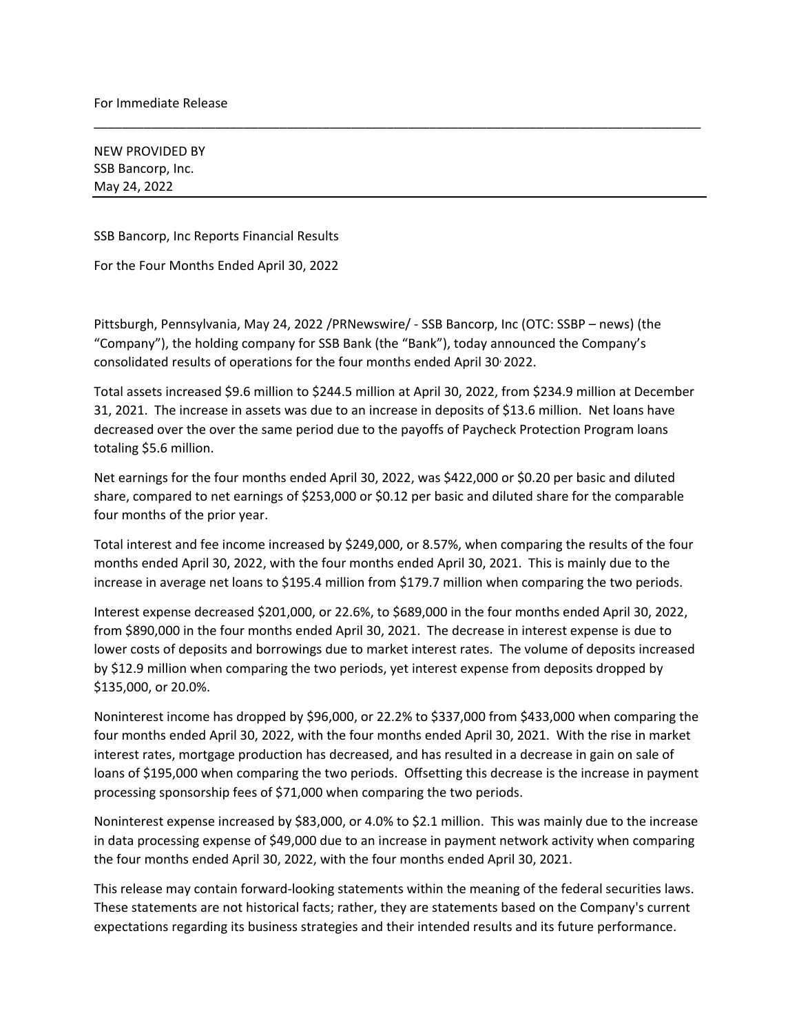NEW PROVIDED BY SSB Bancorp, Inc. May 24, 2022

SSB Bancorp, Inc Reports Financial Results

For the Four Months Ended April 30, 2022

Pittsburgh, Pennsylvania, May 24, 2022 /PRNewswire/ - SSB Bancorp, Inc (OTC: SSBP – news) (the "Company"), the holding company for SSB Bank (the "Bank"), today announced the Company's consolidated results of operations for the four months ended April 30, 2022.

Total assets increased \$9.6 million to \$244.5 million at April 30, 2022, from \$234.9 million at December 31, 2021. The increase in assets was due to an increase in deposits of \$13.6 million. Net loans have decreased over the over the same period due to the payoffs of Paycheck Protection Program loans totaling \$5.6 million.

\_\_\_\_\_\_\_\_\_\_\_\_\_\_\_\_\_\_\_\_\_\_\_\_\_\_\_\_\_\_\_\_\_\_\_\_\_\_\_\_\_\_\_\_\_\_\_\_\_\_\_\_\_\_\_\_\_\_\_\_\_\_\_\_\_\_\_\_\_\_\_\_\_\_\_\_\_\_\_\_\_\_\_\_\_

Net earnings for the four months ended April 30, 2022, was \$422,000 or \$0.20 per basic and diluted share, compared to net earnings of \$253,000 or \$0.12 per basic and diluted share for the comparable four months of the prior year.

Total interest and fee income increased by \$249,000, or 8.57%, when comparing the results of the four months ended April 30, 2022, with the four months ended April 30, 2021. This is mainly due to the increase in average net loans to \$195.4 million from \$179.7 million when comparing the two periods.

Interest expense decreased \$201,000, or 22.6%, to \$689,000 in the four months ended April 30, 2022, from \$890,000 in the four months ended April 30, 2021. The decrease in interest expense is due to lower costs of deposits and borrowings due to market interest rates. The volume of deposits increased by \$12.9 million when comparing the two periods, yet interest expense from deposits dropped by \$135,000, or 20.0%.

Noninterest income has dropped by \$96,000, or 22.2% to \$337,000 from \$433,000 when comparing the four months ended April 30, 2022, with the four months ended April 30, 2021. With the rise in market interest rates, mortgage production has decreased, and has resulted in a decrease in gain on sale of loans of \$195,000 when comparing the two periods. Offsetting this decrease is the increase in payment processing sponsorship fees of \$71,000 when comparing the two periods.

Noninterest expense increased by \$83,000, or 4.0% to \$2.1 million. This was mainly due to the increase in data processing expense of \$49,000 due to an increase in payment network activity when comparing the four months ended April 30, 2022, with the four months ended April 30, 2021.

This release may contain forward-looking statements within the meaning of the federal securities laws. These statements are not historical facts; rather, they are statements based on the Company's current expectations regarding its business strategies and their intended results and its future performance.